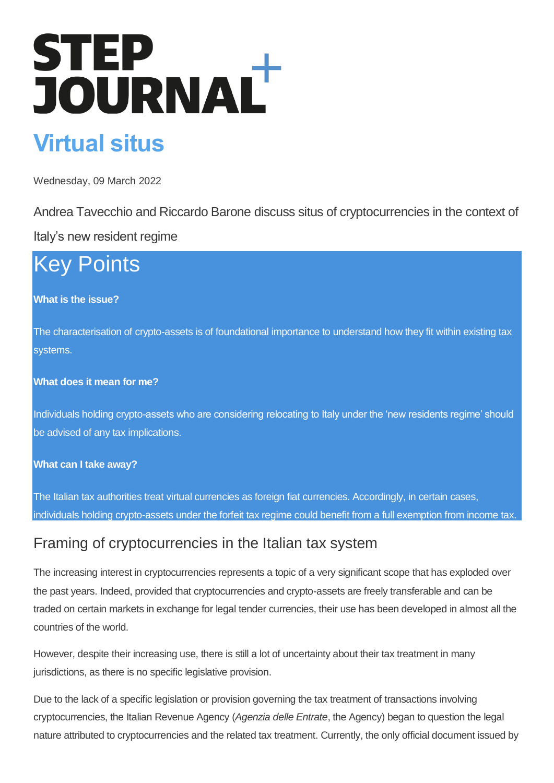# STEP<br>JOURNAL

# **Virtual situs**

Wednesday, 09 March 2022

Andrea Tavecchio and Riccardo Barone discuss situs of cryptocurrencies in the context of

Italy's new resident regime

# Key Points

#### **What is the issue?**

The characterisation of crypto-assets is of foundational importance to understand how they fit within existing tax systems.

#### **What does it mean for me?**

Individuals holding crypto-assets who are considering relocating to Italy under the 'new residents regime' should be advised of any tax implications.

#### **What can I take away?**

The Italian tax authorities treat virtual currencies as foreign fiat currencies. Accordingly, in certain cases, individuals holding crypto-assets under the forfeit tax regime could benefit from a full exemption from income tax.

## Framing of cryptocurrencies in the Italian tax system

The increasing interest in cryptocurrencies represents a topic of a very significant scope that has exploded over the past years. Indeed, provided that cryptocurrencies and crypto-assets are freely transferable and can be traded on certain markets in exchange for legal tender currencies, their use has been developed in almost all the countries of the world.

However, despite their increasing use, there is still a lot of uncertainty about their tax treatment in many jurisdictions, as there is no specific legislative provision.

Due to the lack of a specific legislation or provision governing the tax treatment of transactions involving cryptocurrencies, the Italian Revenue Agency (*Agenzia delle Entrate*, the Agency) began to question the legal nature attributed to cryptocurrencies and the related tax treatment. Currently, the only official document issued by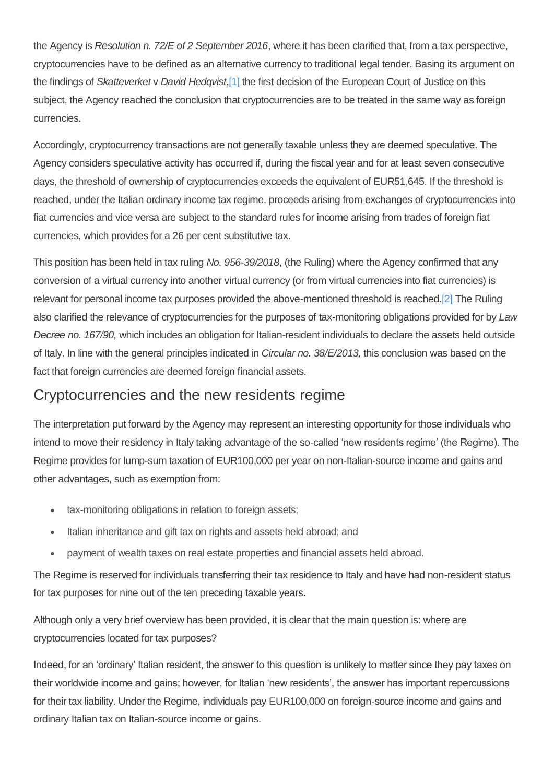the Agency is *Resolution n. 72/E of 2 September 2016*, where it has been clarified that, from a tax perspective, cryptocurrencies have to be defined as an alternative currency to traditional legal tender. Basing its argument on the findings of *Skatteverket* v *David Hedqvist*[,\[1\]](https://www.step.org/step-journal-plus/step-journal/virtual-situs#_ftn1) the first decision of the European Court of Justice on this subject, the Agency reached the conclusion that cryptocurrencies are to be treated in the same way as foreign currencies.

Accordingly, cryptocurrency transactions are not generally taxable unless they are deemed speculative. The Agency considers speculative activity has occurred if, during the fiscal year and for at least seven consecutive days, the threshold of ownership of cryptocurrencies exceeds the equivalent of EUR51,645. If the threshold is reached, under the Italian ordinary income tax regime, proceeds arising from exchanges of cryptocurrencies into fiat currencies and vice versa are subject to the standard rules for income arising from trades of foreign fiat currencies, which provides for a 26 per cent substitutive tax.

This position has been held in tax ruling *No. 956-39/2018*, (the Ruling) where the Agency confirmed that any conversion of a virtual currency into another virtual currency (or from virtual currencies into fiat currencies) is relevant for personal income tax purposes provided the above-mentioned threshold is reache[d.\[2\]](https://www.step.org/step-journal-plus/step-journal/virtual-situs#_ftn2) The Ruling also clarified the relevance of cryptocurrencies for the purposes of tax-monitoring obligations provided for by *Law Decree no. 167/90,* which includes an obligation for Italian-resident individuals to declare the assets held outside of Italy. In line with the general principles indicated in *Circular no. 38/E/2013,* this conclusion was based on the fact that foreign currencies are deemed foreign financial assets.

#### Cryptocurrencies and the new residents regime

The interpretation put forward by the Agency may represent an interesting opportunity for those individuals who intend to move their residency in Italy taking advantage of the so-called 'new residents regime' (the Regime). The Regime provides for lump-sum taxation of EUR100,000 per year on non-Italian-source income and gains and other advantages, such as exemption from:

- tax-monitoring obligations in relation to foreign assets;
- Italian inheritance and gift tax on rights and assets held abroad; and
- payment of wealth taxes on real estate properties and financial assets held abroad.

The Regime is reserved for individuals transferring their tax residence to Italy and have had non-resident status for tax purposes for nine out of the ten preceding taxable years.

Although only a very brief overview has been provided, it is clear that the main question is: where are cryptocurrencies located for tax purposes?

Indeed, for an 'ordinary' Italian resident, the answer to this question is unlikely to matter since they pay taxes on their worldwide income and gains; however, for Italian 'new residents', the answer has important repercussions for their tax liability. Under the Regime, individuals pay EUR100,000 on foreign-source income and gains and ordinary Italian tax on Italian-source income or gains.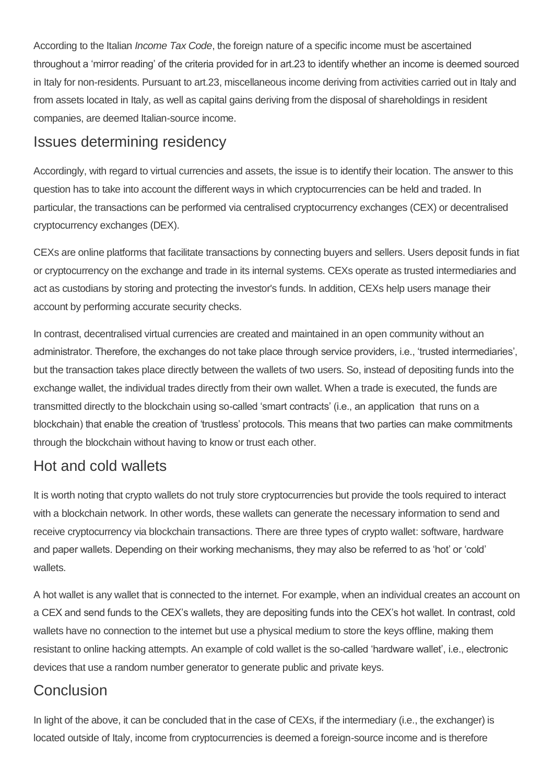According to the Italian *Income Tax Code*, the foreign nature of a specific income must be ascertained throughout a 'mirror reading' of the criteria provided for in art.23 to identify whether an income is deemed sourced in Italy for non-residents. Pursuant to art.23, miscellaneous income deriving from activities carried out in Italy and from assets located in Italy, as well as capital gains deriving from the disposal of shareholdings in resident companies, are deemed Italian-source income.

#### Issues determining residency

Accordingly, with regard to virtual currencies and assets, the issue is to identify their location. The answer to this question has to take into account the different ways in which cryptocurrencies can be held and traded. In particular, the transactions can be performed via centralised cryptocurrency exchanges (CEX) or decentralised cryptocurrency exchanges (DEX).

CEXs are online platforms that facilitate transactions by connecting buyers and sellers. Users deposit funds in fiat or cryptocurrency on the exchange and trade in its internal systems. CEXs operate as trusted intermediaries and act as custodians by storing and protecting the investor's funds. In addition, CEXs help users manage their account by performing accurate security checks.

In contrast, decentralised virtual currencies are created and maintained in an open community without an administrator. Therefore, the exchanges do not take place through service providers, i.e., 'trusted intermediaries', but the transaction takes place directly between the wallets of two users. So, instead of depositing funds into the exchange wallet, the individual trades directly from their own wallet. When a trade is executed, the funds are transmitted directly to the blockchain using so-called 'smart contracts' (i.e., an application that runs on a blockchain) that enable the creation of 'trustless' protocols. This means that two parties can make commitments through the blockchain without having to know or trust each other.

## Hot and cold wallets

It is worth noting that crypto wallets do not truly store cryptocurrencies but provide the tools required to interact with a blockchain network. In other words, these wallets can generate the necessary information to send and receive cryptocurrency via blockchain transactions. There are three types of crypto wallet: software, hardware and paper wallets. Depending on their working mechanisms, they may also be referred to as 'hot' or 'cold' wallets.

A hot wallet is any wallet that is connected to the internet. For example, when an individual creates an account on a CEX and send funds to the CEX's wallets, they are depositing funds into the CEX's hot wallet. In contrast, cold wallets have no connection to the internet but use a physical medium to store the keys offline, making them resistant to online hacking attempts. An example of cold wallet is the so-called 'hardware wallet', i.e., electronic devices that use a random number generator to generate public and private keys.

## **Conclusion**

In light of the above, it can be concluded that in the case of CEXs, if the intermediary (i.e., the exchanger) is located outside of Italy, income from cryptocurrencies is deemed a foreign-source income and is therefore